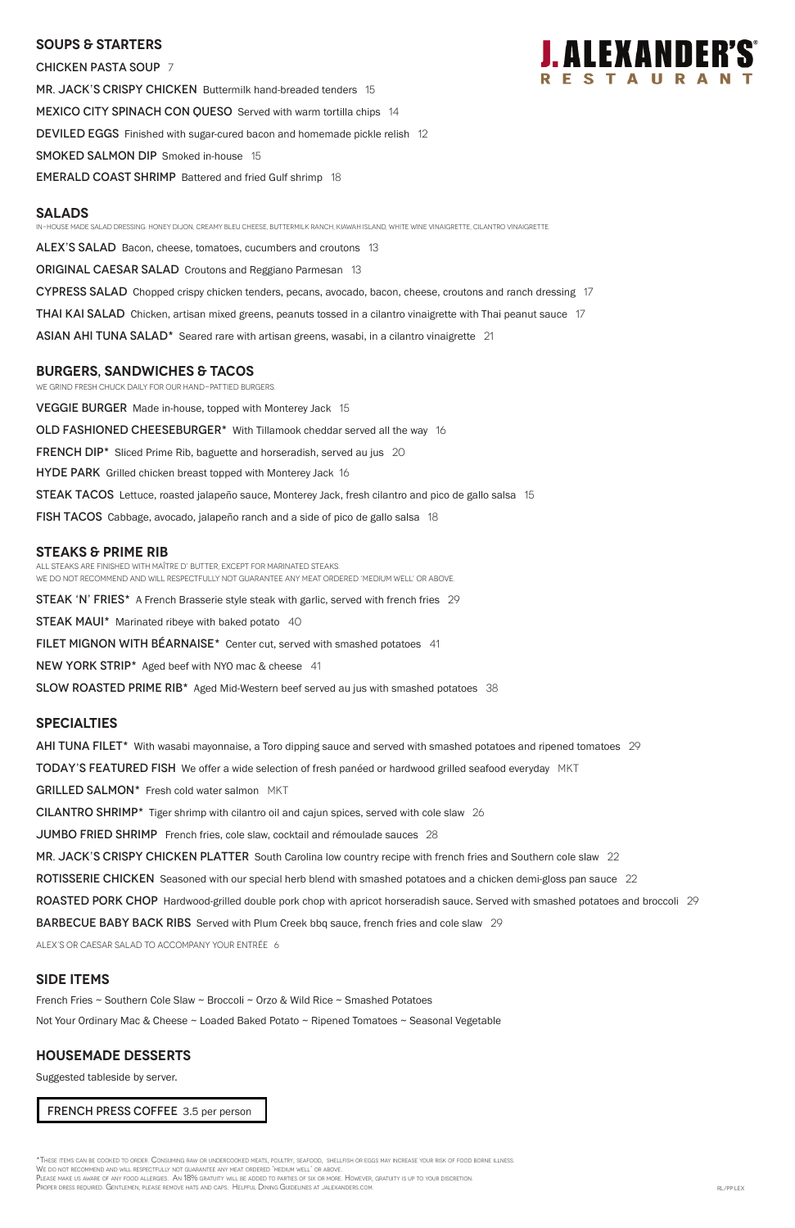#### **SOUPS & Starters**

Chicken Pasta Soup 7 MR. JACK'S CRISPY CHICKEN Buttermilk hand-breaded tenders 15 MEXICO CITY SPINACH CON OUESO Served with warm tortilla chips 14 DEVILED EGGS Finished with sugar-cured bacon and homemade pickle relish 12 SMOKED SALMON DIP Smoked in-house 15 **EMERALD COAST SHRIMP** Battered and fried Gulf shrimp 18

### **Salads**

In-house made salad dressing: Honey dijon, Creamy bleu cheese, buttermilk ranch, kiawah island, white wine vinaigrette, cilantro vinaigrette.

ALEX'S SALAD Bacon, cheese, tomatoes, cucumbers and croutons 13

**ORIGINAL CAESAR SALAD** Croutons and Reggiano Parmesan 13

CYPRESS SALAD Chopped crispy chicken tenders, pecans, avocado, bacon, cheese, croutons and ranch dressing 17

**THAI KAI SALAD** Chicken, artisan mixed greens, peanuts tossed in a cilantro vinaigrette with Thai peanut sauce 17

ASIAN AHI TUNA SALAD\* Seared rare with artisan greens, wasabi, in a cilantro vinaigrette 21

We grind fresh chuck daily for our hand-pattied burgers. **VEGGIE BURGER** Made in-house, topped with Monterey Jack 15 OLD FASHIONED CHEESEBURGER\* With Tillamook cheddar served all the way 16 FRENCH DIP<sup>\*</sup> Sliced Prime Rib, baguette and horseradish, served au jus 20 HYDE PARK Grilled chicken breast topped with Monterey Jack 16 **STEAK TACOS** Lettuce, roasted jalapeño sauce, Monterey Jack, fresh cilantro and pico de gallo salsa 15 **FISH TACOS** Cabbage, avocado, jalapeño ranch and a side of pico de gallo salsa 18

All steaks are finished with Maître d' butter, except for marinated steaks. WE DO NOT RECOMMEND AND WILL RESPECTFULLY NOT GUARANTEE ANY MEAT ORDERED 'MEDIUM WELL' OR ABOVE. STEAK 'N' FRIES\* A French Brasserie style steak with garlic, served with french fries 29 **STEAK MAUI\*** Marinated ribeye with baked potato 40 FILET MIGNON WITH BEARNAISE\* Center cut, served with smashed potatoes 41 NEW YORK STRIP\* Aged beef with NYO mac & cheese 41

SLOW ROASTED PRIME RIB<sup>\*</sup> Aged Mid-Western beef served au jus with smashed potatoes 38

### **burgers, Sandwiches & TACOS**

### **STEAKS & Prime Rib**

### **specialties**

AHI TUNA FILET<sup>\*</sup> With wasabi mayonnaise, a Toro dipping sauce and served with smashed potatoes and ripened tomatoes 29 **TODAY'S FEATURED FISH** We offer a wide selection of fresh panéed or hardwood grilled seafood everyday MKT

GRILLED SALMON\* Fresh cold water salmon MKT

CILANTRO SHRIMP<sup>\*</sup> Tiger shrimp with cilantro oil and cajun spices, served with cole slaw 26

JUMBO FRIED SHRIMP French fries, cole slaw, cocktail and rémoulade sauces 28

MR. JACK'S CRISPY CHICKEN PLATTER South Carolina low country recipe with french fries and Southern cole slaw 22

ROTISSERIE CHICKEN Seasoned with our special herb blend with smashed potatoes and a chicken demi-gloss pan sauce 22

ROASTED PORK CHOP Hardwood-grilled double pork chop with apricot horseradish sauce. Served with smashed potatoes and broccoli 29



BARBECUE BABY BACK RIBS Served with Plum Creek bbq sauce, french fries and cole slaw 29

ALEX's or Caesar salad to accompany your entrée 6

### **SIDE ITEMS**

French Fries ~ Southern Cole Slaw ~ Broccoli ~ Orzo & Wild Rice ~ Smashed Potatoes

Not Your Ordinary Mac & Cheese ~ Loaded Baked Potato ~ Ripened Tomatoes ~ Seasonal Vegetable

### **Housemade DESSERTS**

Suggested tableside by server.

\*These items can be cooked to order. Consuming raw or undercooked meats, poultry, seafood, shellfish or eggs may increase your risk of food borne illness.

We do not recommend and will respectfully not guarantee any meat ordered 'medium well' or above.

Please make us aware of any food allergies. An 18% gratuity will be added to parties of six or more. However, gratuity is up to your discretion.

Proper dress required. Gentlemen, please remove hats and caps. Helpful Dining Guidelines at jalexanders.com. RL/PP Lex

FRENCH PRESS COFFEE 3.5 per person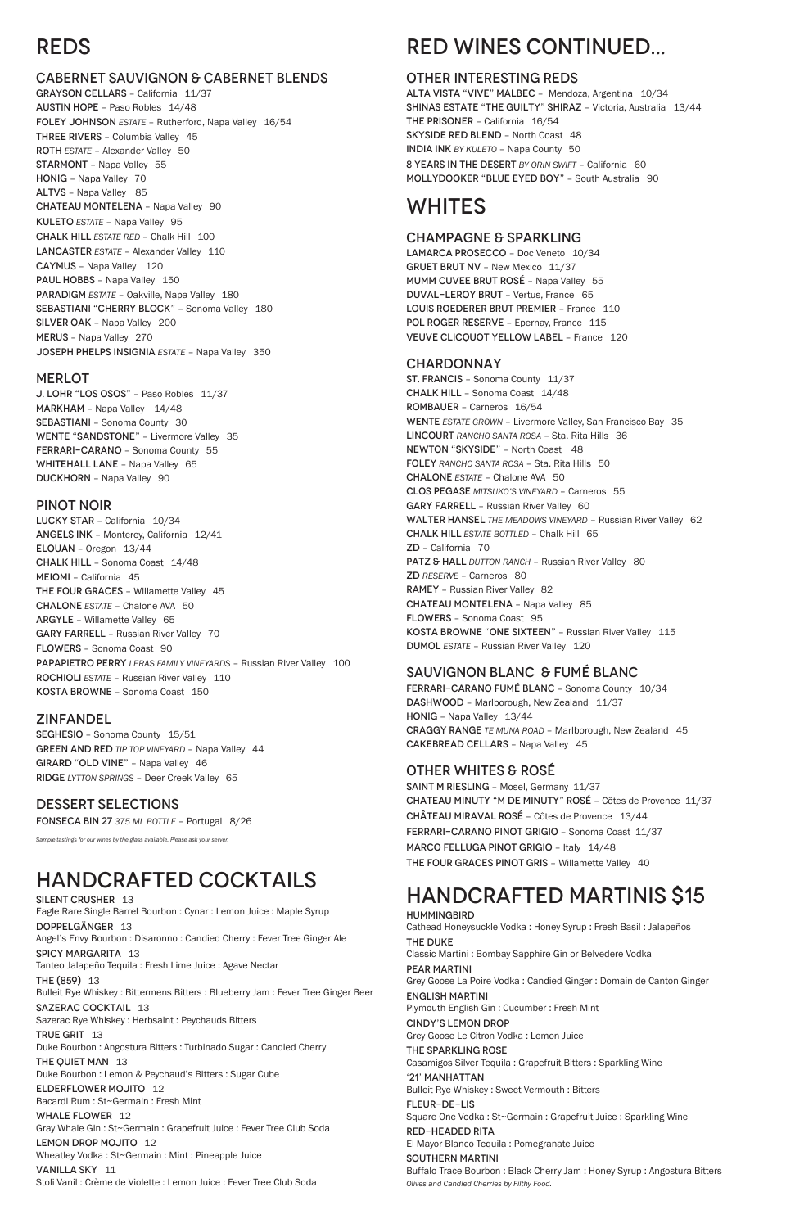# REDS

## CABERNET SAUVIGNON & CABERNET BLENDS

GRAYSON CELLARS – California 11/37 AUSTIN HOPE – Paso Robles 14/48 FOLEY JOHNSON *ESTATE* – Rutherford, Napa Valley 16/54 THREE RIVERS – Columbia Valley 45 ROTH *ESTATE* – Alexander Valley 50 STARMONT – Napa Valley 55 HONIG – Napa Valley 70 ALTVS – Napa Valley 85 CHATEAU MONTELENA – Napa Valley 90 KULETO *ESTATE* – Napa Valley 95 CHALK HILL *ESTATE RED* – Chalk Hill 100 LANCASTER **ESTATE** - Alexander Valley 110 CAYMUS – Napa Valley 120 PAUL HOBBS - Napa Valley 150 PARADIGM **ESTATE** - Oakville, Napa Valley 180 SEBASTIANI "CHERRY BLOCK" – Sonoma Valley 180 SILVER OAK – Napa Valley 200 MERUS – Napa Valley 270 JOSEPH PHELPS INSIGNIA *ESTATE* – Napa Valley 350

### MERLOT

J. LOHR "LOS OSOS" – Paso Robles 11/37 MARKHAM - Napa Valley 14/48 SEBASTIANI – Sonoma County 30 WENTE "SANDSTONE" – Livermore Valley 35 FERRARI-CARANO – Sonoma County 55 WHITEHALL LANE – Napa Valley 65 DUCKHORN – Napa Valley 90

## HANDCRAFTED COCKTAILS SILENT CRUSHER 13

### PINOT NOIR

LUCKY STAR – California 10/34 ANGELS INK – Monterey, California 12/41 ELOUAN – Oregon 13/44 CHALK HILL – Sonoma Coast 14/48 MEIOMI – California 45 THE FOUR GRACES – Willamette Valley 45 CHALONE *ESTATE* – Chalone AVA 50 ARGYLE – Willamette Valley 65 GARY FARRELL – Russian River Valley 70 FLOWERS – Sonoma Coast 90 PAPAPIETRO PERRY *LERAS FAMILY VINEYARDS* – Russian River Valley 100 ROCHIOLI *ESTATE* – Russian River Valley 110 KOSTA BROWNE – Sonoma Coast 150

### ZINFANDEL

SEGHESIO – Sonoma County 15/51 GREEN AND RED *TIP TOP VINEYARD* – Napa Valley 44 GIRARD "OLD VINE" – Napa Valley 46 RIDGE *LYTTON SPRINGS* – Deer Creek Valley 65

## DESSERT SELECTIONS

FONSECA BIN 27 *375 ML BOTTLE* – Portugal 8/26

*Sample tastings for our wines by the glass available. Please ask your server.*

Eagle Rare Single Barrel Bourbon : Cynar : Lemon Juice : Maple Syrup DOPPELGÄNGER 13 Angel's Envy Bourbon : Disaronno : Candied Cherry : Fever Tree Ginger Ale SPICY MARGARITA 13 Tanteo Jalapeño Tequila : Fresh Lime Juice : Agave Nectar THE (859) 13 Bulleit Rye Whiskey : Bittermens Bitters : Blueberry Jam : Fever Tree Ginger Beer SAZERAC COCKTAIL 13 Sazerac Rye Whiskey : Herbsaint : Peychauds Bitters TRUE GRIT 13 Duke Bourbon : Angostura Bitters : Turbinado Sugar : Candied Cherry THE QUIET MAN 13 Duke Bourbon : Lemon & Peychaud's Bitters : Sugar Cube ELDERFLOWER MOJITO 12 Bacardi Rum : St~Germain : Fresh Mint WHALE FLOWER 12 Gray Whale Gin : St~Germain : Grapefruit Juice : Fever Tree Club Soda LEMON DROP MOJITO 12 Wheatley Vodka : St~Germain : Mint : Pineapple Juice VANILLA SKY 11 Stoli Vanil : Crème de Violette : Lemon Juice : Fever Tree Club Soda

# RED WINES CONTINUED...

## OTHER INTERESTING REDS

ALTA VISTA "VIVE" MALBEC – Mendoza, Argentina 10/34 SHINAS ESTATE "THE GUILTY" SHIRAZ – Victoria, Australia 13/44 THE PRISONER – California 16/54 SKYSIDE RED BLEND – North Coast 48 INDIA INK *BY KULETO* – Napa County 50 8 YEARS IN THE DESERT *BY ORIN SWIFT* – California 60 MOLLYDOOKER "BLUE EYED BOY" – South Australia 90

# WHITES

### CHAMPAGNE & SPARKLING

LAMARCA PROSECCO – Doc Veneto 10/34 GRUET BRUT NV – New Mexico 11/37 MUMM CUVEE BRUT ROSÉ – Napa Valley 55 DUVAL-LEROY BRUT – Vertus, France 65 LOUIS ROEDERER BRUT PREMIER – France 110 POL ROGER RESERVE - Epernay, France 115 VEUVE CLICQUOT YELLOW LABEL – France 120

## CHARDONNAY

ST. FRANCIS – Sonoma County 11/37 CHALK HILL – Sonoma Coast 14/48 ROMBAUER – Carneros 16/54 WENTE *ESTATE GROWN* – Livermore Valley, San Francisco Bay 35 LINCOURT *RANCHO SANTA ROSA* – Sta. Rita Hills 36 NEWTON "SKYSIDE" – North Coast 48 FOLEY *RANCHO SANTA ROSA* – Sta. Rita Hills 50 CHALONE *ESTATE* – Chalone AVA 50 CLOS PEGASE *MITSUKO'S VINEYARD* – Carneros 55 GARY FARRELL – Russian River Valley 60 WALTER HANSEL *THE MEADOWS VINEYARD* – Russian River Valley 62 CHALK HILL *ESTATE BOTTLED* – Chalk Hill 65 ZD – California 70 PATZ & HALL *DUTTON RANCH* - Russian River Valley 80 ZD *RESERVE* – Carneros 80 RAMEY – Russian River Valley 82 CHATEAU MONTELENA – Napa Valley 85 FLOWERS – Sonoma Coast 95 KOSTA BROWNE "ONE SIXTEEN" – Russian River Valley 115 DUMOL *ESTATE* – Russian River Valley 120

## SAUVIGNON BLANC & FUMÉ BLANC

FERRARI-CARANO FUMÉ BLANC – Sonoma County 10/34 DASHWOOD - Marlborough, New Zealand 11/37 HONIG – Napa Valley 13/44 CRAGGY RANGE *TE MUNA ROAD* – Marlborough, New Zealand 45 CAKEBREAD CELLARS – Napa Valley 45

## OTHER WHITES & ROSÉ

SAINT M RIESLING – Mosel, Germany 11/37 CHATEAU MINUTY "M DE MINUTY" ROSÉ – Côtes de Provence 11/37 CHÂTEAU MIRAVAL ROSÉ – Côtes de Provence 13/44 FERRARI-CARANO PINOT GRIGIO – Sonoma Coast 11/37 MARCO FELLUGA PINOT GRIGIO – Italy 14/48 THE FOUR GRACES PINOT GRIS – Willamette Valley 40

#### HANDCRAFTED MARTINIS \$15 HUMMINGBIRD Cathead Honeysuckle Vodka : Honey Syrup : Fresh Basil : Jalapeños THE DUKE Classic Martini : Bombay Sapphire Gin or Belvedere Vodka PEAR MARTINI Grey Goose La Poire Vodka : Candied Ginger : Domain de Canton Ginger ENGLISH MARTINI Plymouth English Gin : Cucumber : Fresh Mint CINDY'S LEMON DROP

Grey Goose Le Citron Vodka : Lemon Juice

THE SPARKLING ROSE Casamigos Silver Tequila : Grapefruit Bitters : Sparkling Wine

'21' MANHATTAN Bulleit Rye Whiskey : Sweet Vermouth : Bitters

FLEUR-DE-LIS Square One Vodka : St~Germain : Grapefruit Juice : Sparkling Wine

RED-HEADED RITA El Mayor Blanco Tequila : Pomegranate Juice

#### SOUTHERN MARTINI

Buffalo Trace Bourbon : Black Cherry Jam : Honey Syrup : Angostura Bitters *Olives and Candied Cherries by Filthy Food.*